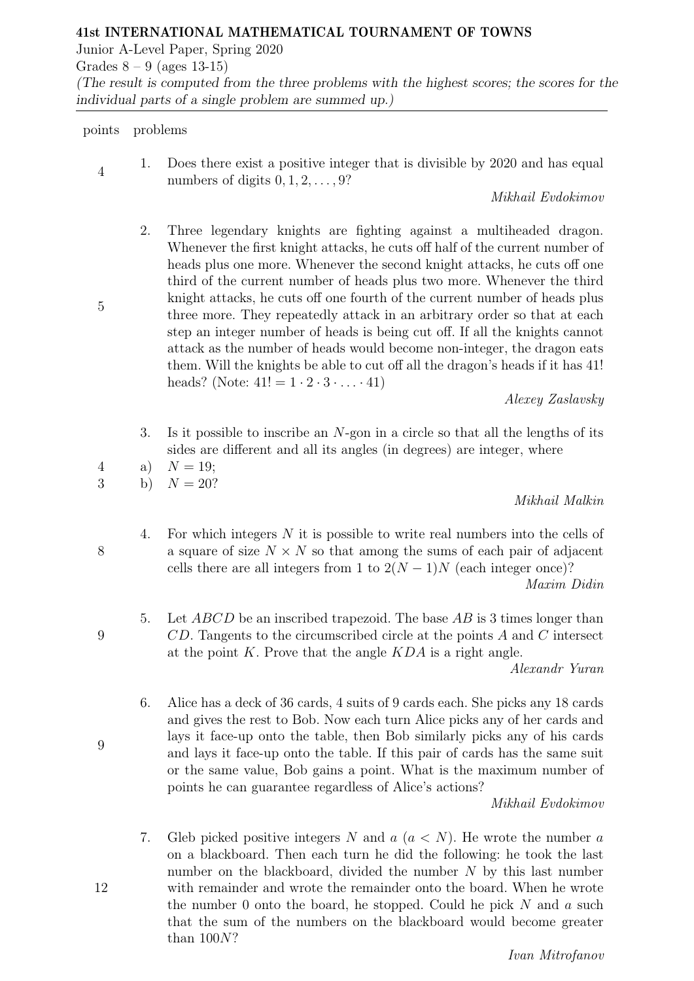Junior A-Level Paper, Spring 2020

Grades  $8 - 9$  (ages 13-15) (The result is computed from the three problems with the highest scores; the scores for the individual parts of a single problem are summed up.)

## points problems

4

5

1. Does there exist a positive integer that is divisible by 2020 and has equal numbers of digits  $0, 1, 2, \ldots, 9$ ?

Mikhail Evdokimov

2. Three legendary knights are fighting against a multiheaded dragon. Whenever the first knight attacks, he cuts off half of the current number of heads plus one more. Whenever the second knight attacks, he cuts off one third of the current number of heads plus two more. Whenever the third knight attacks, he cuts off one fourth of the current number of heads plus three more. They repeatedly attack in an arbitrary order so that at each step an integer number of heads is being cut off. If all the knights cannot attack as the number of heads would become non-integer, the dragon eats them. Will the knights be able to cut off all the dragon's heads if it has 41! heads? (Note:  $41! = 1 \cdot 2 \cdot 3 \cdot ... \cdot 41$ )

Alexey Zaslavsky

- 3. Is it possible to inscribe an N-gon in a circle so that all the lengths of its sides are different and all its angles (in degrees) are integer, where
- 4 a)  $N = 19$ ;

3 b)  $N = 20?$ 

Mikhail Malkin

4. For which integers N it is possible to write real numbers into the cells of a square of size  $N \times N$  so that among the sums of each pair of adjacent cells there are all integers from 1 to  $2(N-1)N$  (each integer once)?

Maxim Didin

5. Let ABCD be an inscribed trapezoid. The base AB is 3 times longer than CD. Tangents to the circumscribed circle at the points A and C intersect at the point  $K$ . Prove that the angle  $KDA$  is a right angle.

Alexandr Yuran

6. Alice has a deck of 36 cards, 4 suits of 9 cards each. She picks any 18 cards and gives the rest to Bob. Now each turn Alice picks any of her cards and lays it face-up onto the table, then Bob similarly picks any of his cards and lays it face-up onto the table. If this pair of cards has the same suit or the same value, Bob gains a point. What is the maximum number of points he can guarantee regardless of Alice's actions?

Mikhail Evdokimov

7. Gleb picked positive integers N and  $a (a \lt N)$ . He wrote the number a on a blackboard. Then each turn he did the following: he took the last number on the blackboard, divided the number N by this last number with remainder and wrote the remainder onto the board. When he wrote the number 0 onto the board, he stopped. Could he pick  $N$  and  $a$  such that the sum of the numbers on the blackboard would become greater than 100N?

12

- 8
- 9

9